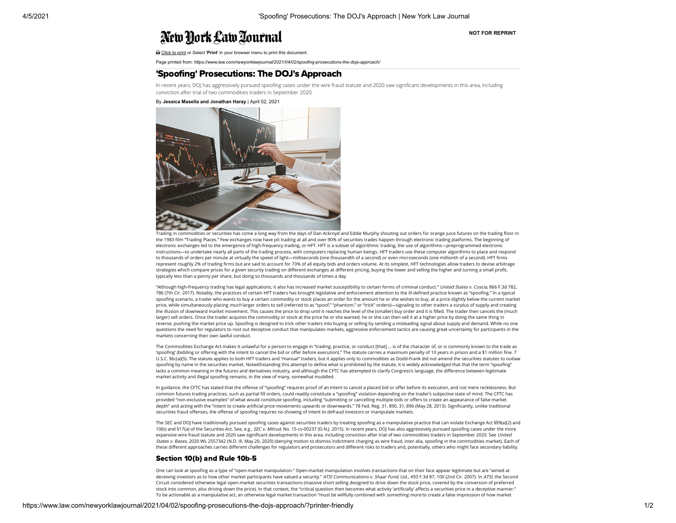# New York Law Tournal

**NOT FOR REPRINT**

Click to print or Select '**Print**' in your browser menu to print this document.

Page printed from: *https://www.law.com/newyorklawjournal/2021/04/02/spoofing-prosecutions-the-dojs-approach/*

# 'Spoofing' Prosecutions: The DOJ's Approach

In recent years, DOJ has aggressively pursued spoofing cases under the wire fraud statute and 2020 saw significant developments in this area, including conviction after trial of two commodities traders in September 2020.

#### By **Jessica Masella and Jonathan Haray** | April 02, 2021



Trading in commodities or securities has come a long way from the days of Dan Ackroyd and Eddie Murphy shouting out orders for orange juice futures on the trading floor in the 1983 film "Trading Places." Few exchanges now have pit trading at all and over 90% of securities trades happen through electronic trading platforms. The beginning of electronic exchanges led to the emergence of high-frequency trading, or HFT. HFT is a subset of algorithmic trading, the use of algorithms—preprogrammed electronic instructions—to undertake nearly all parts of the trading process, with computers replacing human beings. HFT traders use these computer algorithms to place and respond to thousands of orders per minute at virtually the speed of light—milliseconds (one thousandth of a second) or even microseconds (one millionth of a second). HFT firms represent roughly 2% of trading firms but are said to account for 73% of all equity bids and orders volume. At its simplest, HFT technologies allow traders to devise arbitrage strategies which compare prices for a given security trading on different exchanges at different pricing, buying the lower and selling the higher and turning a small profit, typically less than a penny per share, but doing so thousands and thousands of times a day.

"Although high-frequency trading has legal applications, it also has increased market susceptibility to certain forms of criminal conduct." United States v. Coscia, 866 F.3d 782, 786 (7th Cir. 2017). Notably, the practices of certain HFT traders has brought legislative and enforcement attention to the ill-defined practice known as "spoofing." In a typical spoofing scenario, a trader who wants to buy a certain commodity or stock places an order for the amount he or she wishes to buy, at a price slightly below the current market price, while simultaneously placing much larger orders to sell (referred to as "spoof," "phantom," or "trick" orders)—signaling to other traders a surplus of supply and creating the illusion of downward market movement. This causes the price to drop until it reaches the level of the (smaller) buy order and it is lled. The trader then cancels the (much larger) sell orders. Once the trader acquires the commodity or stock at the price he or she wanted, he or she can then sell it at a higher price by doing the same thing in reverse, pushing the market price up. Spoofing is designed to trick other traders into buying or selling by sending a misleading signal about supply and demand. While no one questions the need for regulators to root out deceptive conduct that manipulates markets, aggressive enforcement tactics are causing great uncertainty for participants in the markets concerning their own lawful conduct.

The Commodities Exchange Act makes it unlawful for a person to engage in "trading, practice, or conduct [that] … is of the character of, or is commonly known to the trade as 'spoofing' (bidding or offering with the intent to cancel the bid or offer before execution)." The statute carries a maximum penalty of 10 years in prison and a \$1 million fine. 7 U.S.C. §6c(a)(5). The statute applies to both HFT traders and "manual" traders, but it applies only to commodities as Dodd-Frank did not amend the securities statutes to outlaw spoofing by name in the securities market. Notwithstanding this attempt to define what is prohibited by the statute, it is widely acknowledged that that the term "spoofing" lacks a common meaning in the futures and derivatives industry, and although the CFTC has attempted to clarify Congress's language, the difference between legitimate market activity and illegal spoofing remains, in the view of many, somewhat muddled.

In guidance, the CFTC has stated that the offense of "spoofing" requires proof of an intent to cancel a placed bid or offer before its execution, and not mere recklessness. But common futures trading practices, such as partial fill orders, could readily constitute a "spoofing" violation depending on the trader's subjective state of mind. The CFTC has provided "non-exclusive examples" of what would constitute spoofing, including "submitting or cancelling multiple bids or offers to create an appearance of false market depth" and acting with the "intent to create artificial price movements upwards or downwards." 78 Fed. Reg. 31, 890, 31, 896 (May 28, 2013). Significantly, unlike traditional securities fraud offenses, the offense of spoofing requires no showing of intent to defraud investors or manipulate markets.

The SEC and DOJ have traditionally pursued spoofing cases against securities traders by treating spoofing as a manipulative practice that can violate Exchange Act §§9(a)(2) and 10(b) and §17(a) of the Securities Act. See, e.g., SEC v. Milrud, No. 15-cv-00237 (D.N.J. 2015). In recent years, DOJ has also aggressively pursued spoofing cases under the more expansive wire fraud statute and 2020 saw significant developments in this area, including conviction after trial of two commodities traders in September 2020. See United States v. Bases, 2020 WL 2557342 (N.D. Ill. May 20, 2020) (denying motion to dismiss indictment charging as wire fraud, inter alia, spoofing in the commodities market). Each of these different approaches carries different challenges for regulators and prosecutors and different risks to traders and, potentially, others who might face secondary liability.

#### Section 10(b) and Rule 10b-5

One can look at spoofing as a type of "open-market manipulation." Open-market manipulation involves transactions that on their face appear legitimate but are "aimed at deceiving investors as to how other market participants have valued a security." ATSI Communications v. Shaar Fund, Ltd., 493 F.3d 87, 100 (2nd Cir. 2007). In ATSI, the Second Circuit considered otherwise legal open-market securities transactions (massive short selling designed to drive down the stock price, covered by the conversion of preferred stock into common, also driving down the price). In that context, the "critical question then becomes what activity 'artificially' affects a securities price in a deceptive manner." To be actionable as a manipulative act, an otherwise legal market transaction "must be willfully combined with something more to create a false impression of how market